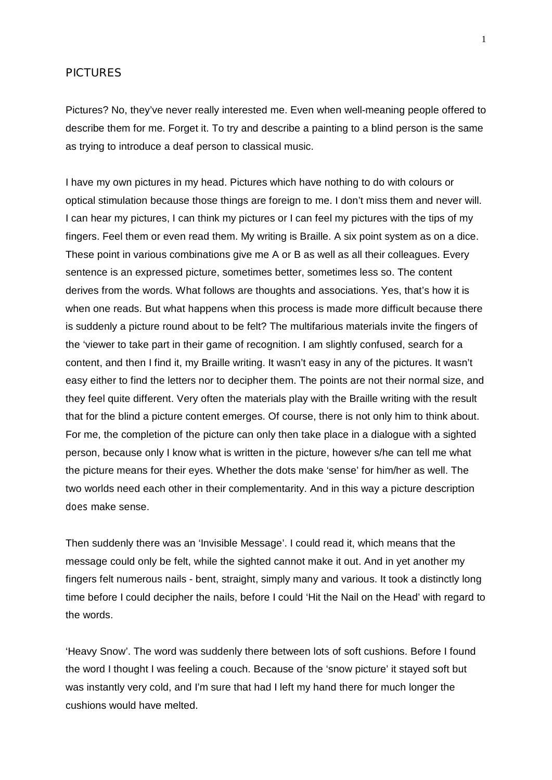## **PICTURES**

Pictures? No, they've never really interested me. Even when well-meaning people offered to describe them for me. Forget it. To try and describe a painting to a blind person is the same as trying to introduce a deaf person to classical music.

I have my own pictures in my head. Pictures which have nothing to do with colours or optical stimulation because those things are foreign to me. I don't miss them and never will. I can hear my pictures, I can think my pictures or I can feel my pictures with the tips of my fingers. Feel them or even read them. My writing is Braille. A six point system as on a dice. These point in various combinations give me A or B as well as all their colleagues. Every sentence is an expressed picture, sometimes better, sometimes less so. The content derives from the words. What follows are thoughts and associations. Yes, that's how it is when one reads. But what happens when this process is made more difficult because there is suddenly a picture round about to be felt? The multifarious materials invite the fingers of the 'viewer to take part in their game of recognition. I am slightly confused, search for a content, and then I find it, my Braille writing. It wasn't easy in any of the pictures. It wasn't easy either to find the letters nor to decipher them. The points are not their normal size, and they feel quite different. Very often the materials play with the Braille writing with the result that for the blind a picture content emerges. Of course, there is not only him to think about. For me, the completion of the picture can only then take place in a dialogue with a sighted person, because only I know what is written in the picture, however s/he can tell me what the picture means for their eyes. Whether the dots make 'sense' for him/her as well. The two worlds need each other in their complementarity. And in this way a picture description *does* make sense.

Then suddenly there was an 'Invisible Message'. I could read it, which means that the message could only be felt, while the sighted cannot make it out. And in yet another my fingers felt numerous nails - bent, straight, simply many and various. It took a distinctly long time before I could decipher the nails, before I could 'Hit the Nail on the Head' with regard to the words.

'Heavy Snow'. The word was suddenly there between lots of soft cushions. Before I found the word I thought I was feeling a couch. Because of the 'snow picture' it stayed soft but was instantly very cold, and I'm sure that had I left my hand there for much longer the cushions would have melted.